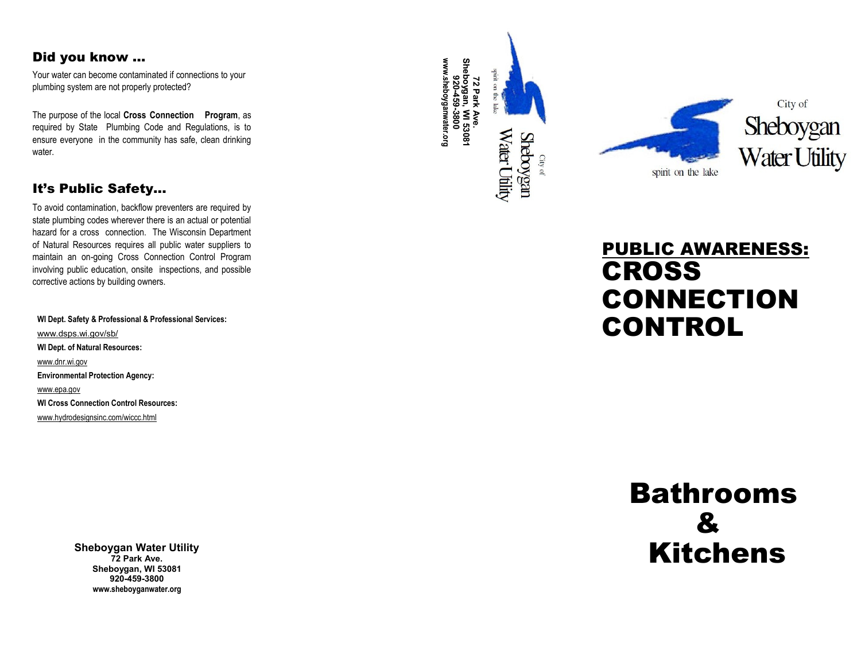# Did you know …

Your water can become contaminated if connections to your plumbing system are not properly protected?

The purpose of the local **Cross Connection Program**, as required by State Plumbing Code and Regulations, is to ensure everyone in the community has safe, clean drinking water.

# It's Public Safety...

To avoid contamination, backflow preventers are required by state plumbing codes wherever there is an actual or potential hazard for a cross connection. The Wisconsin Department of Natural Resources requires all public water suppliers to maintain an on -going Cross Connection Control Program involving public education, onsite inspections, and possible corrective actions by building owners.

**WI Dept. Safety & Professional & Professional Services:** www.dsps.wi.gov/sb/ **WI Dept. of Natural Resources:** www.dnr.wi.gov **Environmental Protection Agency:** www.epa.gov **WI Cross Connection Control Resources:** www.hydrodesignsinc.com/wiccc.html

> **Sheboygan Water Utility 72 Park Ave. Sheboygan, WI 53081 920 -459 -3800 www.sheboyganwater.org**

www.sheboyganwater.org **www.sheboyganwater.orgSheboygan, WI 53081** spirit on the lak **920-459-3800 72 Park Ave.** Water Utility **Sheboygan** 

City of



# PUBLIC AWARENESS: CROSS CONNECTION CONTROL

# Bathrooms & Kitchens